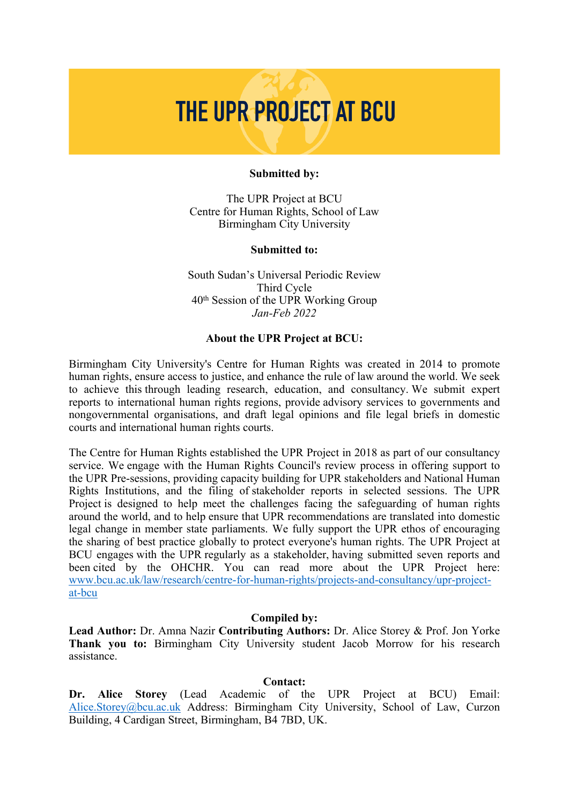# THE UPR PROJECT AT BCU

#### **Submitted by:**

The UPR Project at BCU Centre for Human Rights, School of Law Birmingham City University

#### **Submitted to:**

South Sudan'<sup>s</sup> Universal Periodic Review Third Cycle 40th Session of the UPR Working Group *Jan-Feb 2022*

## **About the UPR Project at BCU:**

Birmingham City University's Centre for Human Rights was created in 2014 to promote human rights, ensure access to justice, and enhance the rule of law around the world. We seek to achieve this through leading research, education, and consultancy. We submit exper<sup>t</sup> reports to international human rights regions, provide advisory services to governments and nongovernmental organisations, and draft legal opinions and file legal briefs in domestic courts and international human rights courts.

The Centre for Human Rights established the UPR Project in 2018 as par<sup>t</sup> of our consultancy service. We engage with the Human Rights Council's review process in offering suppor<sup>t</sup> to the UPR Pre-sessions, providing capacity building for UPR stakeholders and National Human Rights Institutions, and the filing of stakeholder reports in selected sessions. The UPR Project is designed to help meet the challenges facing the safeguarding of human rights around the world, and to help ensure that UPR recommendations are translated into domestic legal change in member state parliaments. We fully suppor<sup>t</sup> the UPR ethos of encouraging the sharing of best practice globally to protect everyone's human rights. The UPR Project at BCU engages with the UPR regularly as <sup>a</sup> stakeholder, having submitted seven reports and been cited by the OHCHR. You can read more about the UPR Project here: [www.bcu.ac.uk/law/research/centre-for-human-rights/projects-and-consultancy/upr-project](http://www.bcu.ac.uk/law/research/centre-for-human-rights/projects-and-consultancy/upr-project-at-bcu)[at-bcu](http://www.bcu.ac.uk/law/research/centre-for-human-rights/projects-and-consultancy/upr-project-at-bcu)

#### **Compiled by:**

**Lead Author:** Dr. Amna Nazir **Contributing Authors:** Dr. Alice Storey & Prof. Jon Yorke **Thank you to:** Birmingham City University student Jacob Morrow for his research assistance.

#### **Contact:**

**Dr. Alice Storey** (Lead Academic of the UPR Project at BCU) Email: [Alice.Storey@bcu.ac.uk](mailto:Alice.Storey@bcu.ac.uk) Address: Birmingham City University, School of Law, Curzon Building, 4 Cardigan Street, Birmingham, B4 7BD, UK.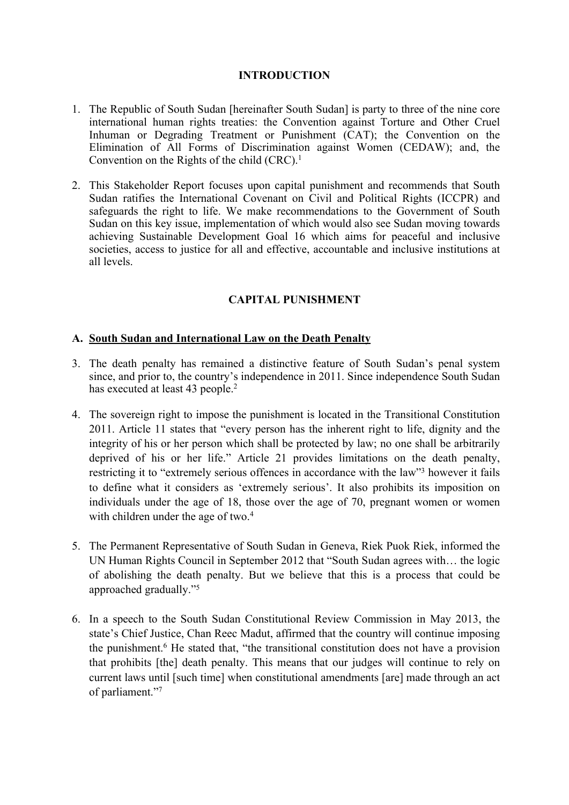## **INTRODUCTION**

- 1. The Republic of South Sudan [hereinafter South Sudan] is party to three of the nine core international human rights treaties: the Convention against Torture and Other Cruel Inhuman or Degrading Treatment or Punishment (CAT); the Convention on the Elimination of All Forms of Discrimination against Women (CEDAW); and, the Convention on the Rights of the child (CRC). 1
- 2. This Stakeholder Report focuses upon capital punishment and recommends that South Sudan ratifies the International Covenant on Civil and Political Rights (ICCPR) and safeguards the right to life. We make recommendations to the Government of South Sudan on this key issue, implementation of which would also see Sudan moving towards achieving Sustainable Development Goal 16 which aims for peaceful and inclusive societies, access to justice for all and effective, accountable and inclusive institutions at all levels.

# **CAPITAL PUNISHMENT**

## **A. South Sudan and International Law on the Death Penalty**

- 3. The death penalty has remained <sup>a</sup> distinctive feature of South Sudan'<sup>s</sup> penal system since, and prior to, the country'<sup>s</sup> independence in 2011. Since independence South Sudan has executed at least 43 people.<sup>2</sup>
- 4. The sovereign right to impose the punishment is located in the Transitional Constitution 2011. Article 11 states that "every person has the inherent right to life, dignity and the integrity of his or her person which shall be protected by law; no one shall be arbitrarily deprived of his or her life." Article 21 provides limitations on the death penalty, restricting it to "extremely serious offences in accordance with the law"<sup>3</sup> however it fails to define what it considers as 'extremely serious'. It also prohibits its imposition on individuals under the age of 18, those over the age of 70, pregnan<sup>t</sup> women or women with children under the age of two.<sup>4</sup>
- 5. The Permanent Representative of South Sudan in Geneva, Riek Puok Riek, informed the UN Human Rights Council in September 2012 that "South Sudan agrees with… the logic of abolishing the death penalty. But we believe that this is <sup>a</sup> process that could be approached gradually."<sup>5</sup>
- 6. In <sup>a</sup> speech to the South Sudan Constitutional Review Commission in May 2013, the state'<sup>s</sup> Chief Justice, Chan Reec Madut, affirmed that the country will continue imposing the punishment. <sup>6</sup> He stated that, "the transitional constitution does not have <sup>a</sup> provision that prohibits [the] death penalty. This means that our judges will continue to rely on current laws until [such time] when constitutional amendments [are] made through an act of parliament."<sup>7</sup>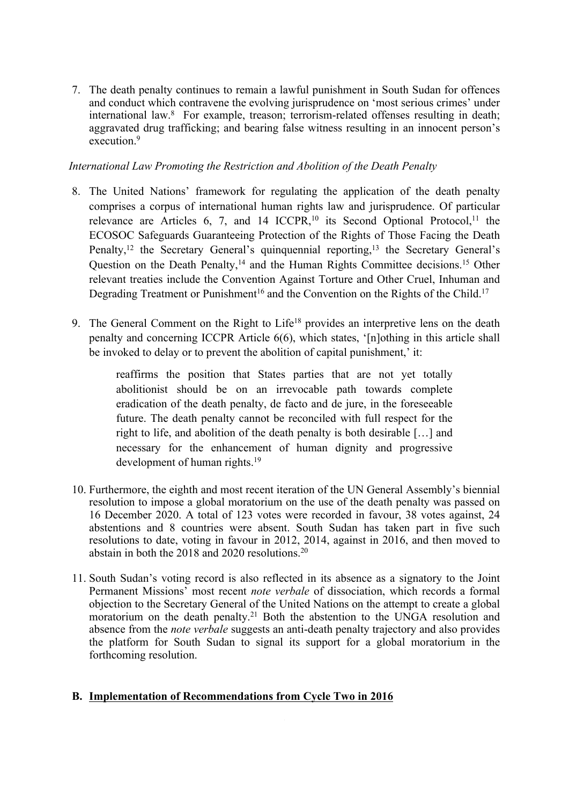7. The death penalty continues to remain <sup>a</sup> lawful punishment in South Sudan for offences and conduct which contravene the evolving jurisprudence on 'most serious crimes' under international law. 8 For example, treason; terrorism-related offenses resulting in death; aggravated drug trafficking; and bearing false witness resulting in an innocent person'<sup>s</sup> execution.<sup>9</sup>

## *International Law Promoting the Restriction and Abolition of the Death Penalty*

- 8. The United Nations' framework for regulating the application of the death penalty comprises <sup>a</sup> corpus of international human rights law and jurisprudence. Of particular relevance are Articles 6, 7, and 14  $ICCPR$ ,<sup>10</sup> its Second Optional Protocol,<sup>11</sup> the ECOSOC Safeguards Guaranteeing Protection of the Rights of Those Facing the Death Penalty,<sup>12</sup> the Secretary General's quinquennial reporting,<sup>13</sup> the Secretary General's Question on the Death Penalty,<sup>14</sup> and the Human Rights Committee decisions.<sup>15</sup> Other relevant treaties include the Convention Against Torture and Other Cruel, Inhuman and Degrading Treatment or Punishment<sup>16</sup> and the Convention on the Rights of the Child.<sup>17</sup>
- 9. The General Comment on the Right to Life<sup>18</sup> provides an interpretive lens on the death penalty and concerning ICCPR Article 6(6), which states, '[n]othing in this article shall be invoked to delay or to prevent the abolition of capital punishment,' it:

reaffirms the position that States parties that are not ye<sup>t</sup> totally abolitionist should be on an irrevocable path towards complete eradication of the death penalty, de facto and de jure, in the foreseeable future. The death penalty cannot be reconciled with full respec<sup>t</sup> for the right to life, and abolition of the death penalty is both desirable […] and necessary for the enhancement of human dignity and progressive development of human rights. 19

- 10. Furthermore, the eighth and most recent iteration of the UN General Assembly'<sup>s</sup> biennial resolution to impose <sup>a</sup> global moratorium on the use of the death penalty was passed on 16 December 2020. A total of 123 votes were recorded in favour, 38 votes against, 24 abstentions and 8 countries were absent. South Sudan has taken par<sup>t</sup> in five such resolutions to date, voting in favour in 2012, 2014, against in 2016, and then moved to abstain in both the 2018 and 2020 resolutions. 20
- 11. South Sudan'<sup>s</sup> voting record is also reflected in its absence as <sup>a</sup> signatory to the Joint Permanent Missions' most recent *note verbale* of dissociation, which records <sup>a</sup> formal objection to the Secretary General of the United Nations on the attempt to create <sup>a</sup> global moratorium on the death penalty. <sup>21</sup> Both the abstention to the UNGA resolution and absence from the *note verbale* suggests an anti-death penalty trajectory and also provides the platform for South Sudan to signal its suppor<sup>t</sup> for <sup>a</sup> global moratorium in the forthcoming resolution.

# **B. Implementation of Recommendations from Cycle Two in 2016**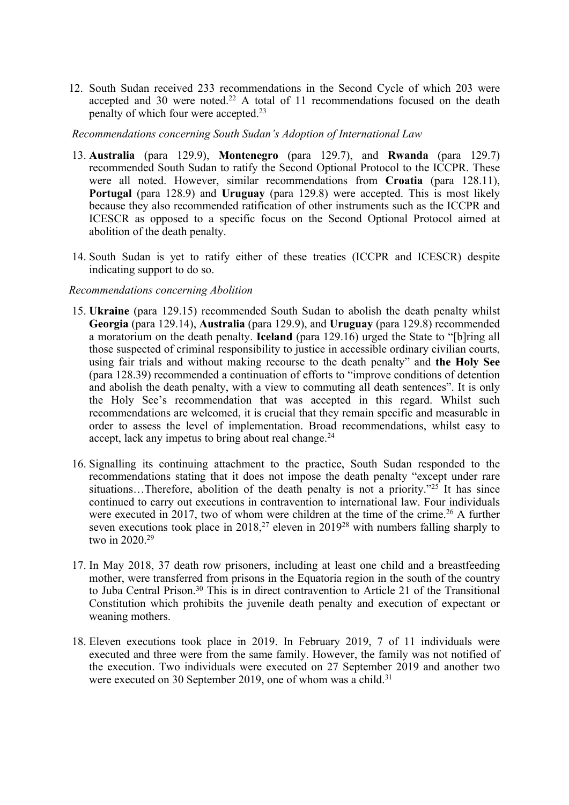12. South Sudan received 233 recommendations in the Second Cycle of which 203 were accepted and 30 were noted.<sup>22</sup> A total of 11 recommendations focused on the death penalty of which four were accepted. 23

#### *Recommendations concerning South Sudan'<sup>s</sup> Adoption of International Law*

- 13. **Australia** (para 129.9), **Montenegro** (para 129.7), and **Rwanda** (para 129.7) recommended South Sudan to ratify the Second Optional Protocol to the ICCPR. These were all noted. However, similar recommendations from **Croatia** (para 128.11), **Portugal** (para 128.9) and **Uruguay** (para 129.8) were accepted. This is most likely because they also recommended ratification of other instruments such as the ICCPR and ICESCR as opposed to <sup>a</sup> specific focus on the Second Optional Protocol aimed at abolition of the death penalty.
- 14. South Sudan is ye<sup>t</sup> to ratify either of these treaties (ICCPR and ICESCR) despite indicating suppor<sup>t</sup> to do so.

## *Recommendations concerning Abolition*

- 15. **Ukraine** (para 129.15) recommended South Sudan to abolish the death penalty whilst **Georgia** (para 129.14), **Australia** (para 129.9), and **Uruguay** (para 129.8) recommended <sup>a</sup> moratorium on the death penalty. **Iceland** (para 129.16) urged the State to "[b]ring all those suspected of criminal responsibility to justice in accessible ordinary civilian courts, using fair trials and without making recourse to the death penalty" and **the Holy See** (para 128.39) recommended <sup>a</sup> continuation of efforts to "improve conditions of detention and abolish the death penalty, with <sup>a</sup> view to commuting all death sentences". It is only the Holy See'<sup>s</sup> recommendation that was accepted in this regard. Whilst such recommendations are welcomed, it is crucial that they remain specific and measurable in order to assess the level of implementation. Broad recommendations, whilst easy to accept, lack any impetus to bring about real change. 24
- 16. Signalling its continuing attachment to the practice, South Sudan responded to the recommendations stating that it does not impose the death penalty "excep<sup>t</sup> under rare situations...Therefore, abolition of the death penalty is not a priority."<sup>25</sup> It has since continued to carry out executions in contravention to international law. Four individuals were executed in 2017, two of whom were children at the time of the crime.<sup>26</sup> A further seven executions took place in 2018,<sup>27</sup> eleven in 2019<sup>28</sup> with numbers falling sharply to two in 2020. 29
- 17. In May 2018, 37 death row prisoners, including at least one child and <sup>a</sup> breastfeeding mother, were transferred from prisons in the Equatoria region in the south of the country to Juba Central Prison. 30 This is in direct contravention to Article 21 of the Transitional Constitution which prohibits the juvenile death penalty and execution of expectant or weaning mothers.
- 18. Eleven executions took place in 2019. In February 2019, 7 of 11 individuals were executed and three were from the same family. However, the family was not notified of the execution. Two individuals were executed on 27 September 2019 and another two were executed on 30 September 2019, one of whom was a child.<sup>31</sup>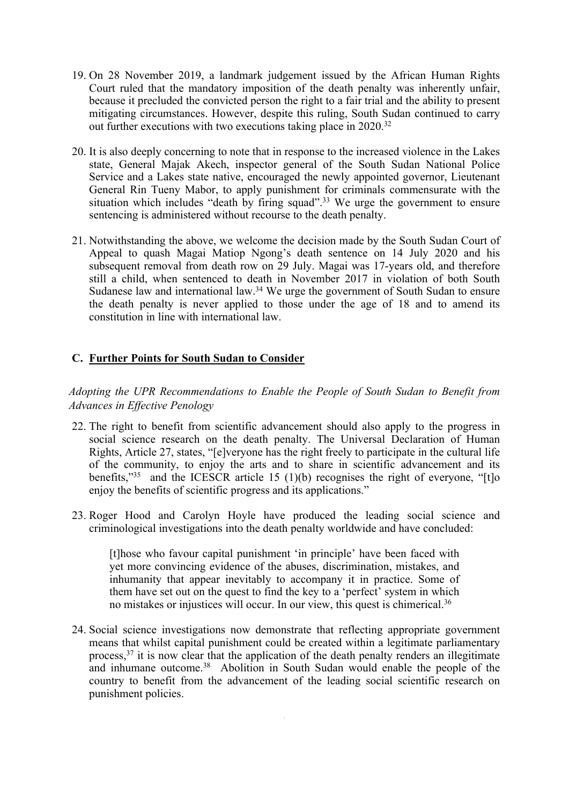- 19. On 28 November 2019, <sup>a</sup> landmark judgement issued by the African Human Rights Court ruled that the mandatory imposition of the death penalty was inherently unfair, because it precluded the convicted person the right to <sup>a</sup> fair trial and the ability to presen<sup>t</sup> mitigating circumstances. However, despite this ruling, South Sudan continued to carry out further executions with two executions taking place in 2020.<sup>32</sup>
- 20. It is also deeply concerning to note that in response to the increased violence in the Lakes state, General Majak Akech, inspector general of the South Sudan National Police Service and <sup>a</sup> Lakes state native, encouraged the newly appointed governor, Lieutenant General Rin Tueny Mabor, to apply punishment for criminals commensurate with the situation which includes "death by firing squad".<sup>33</sup> We urge the government to ensure sentencing is administered without recourse to the death penalty.
- 21. Notwithstanding the above, we welcome the decision made by the South Sudan Court of Appeal to quash Magai Matiop Ngong'<sup>s</sup> death sentence on 14 July 2020 and his subsequent removal from death row on 29 July. Magai was 17-years old, and therefore still <sup>a</sup> child, when sentenced to death in November 2017 in violation of both South Sudanese law and international law.<sup>34</sup> We urge the government of South Sudan to ensure the death penalty is never applied to those under the age of 18 and to amend its constitution in line with international law.

# **C. Further Points for South Sudan to Consider**

*Adopting the UPR Recommendations to Enable the People of South Sudan to Benefit from Advances in Effective Penology*

- 22. The right to benefit from scientific advancement should also apply to the progress in social science research on the death penalty. The Universal Declaration of Human Rights, Article 27, states, "[e]veryone has the right freely to participate in the cultural life of the community, to enjoy the arts and to share in scientific advancement and its benefits,"<sup>35</sup> and the ICESCR article 15 (1)(b) recognises the right of everyone, "[t]o enjoy the benefits of scientific progress and its applications."
- 23. Roger Hood and Carolyn Hoyle have produced the leading social science and criminological investigations into the death penalty worldwide and have concluded:

[t]hose who favour capital punishment 'in principle' have been faced with ye<sup>t</sup> more convincing evidence of the abuses, discrimination, mistakes, and inhumanity that appear inevitably to accompany it in practice. Some of them have set out on the ques<sup>t</sup> to find the key to <sup>a</sup> 'perfect' system in which no mistakes or injustices will occur. In our view, this quest is chimerical.<sup>36</sup>

24. Social science investigations now demonstrate that reflecting appropriate governmen<sup>t</sup> means that whilst capital punishment could be created within <sup>a</sup> legitimate parliamentary process, 37 it is now clear that the application of the death penalty renders an illegitimate and inhumane outcome. <sup>38</sup> Abolition in South Sudan would enable the people of the country to benefit from the advancement of the leading social scientific research on punishment policies.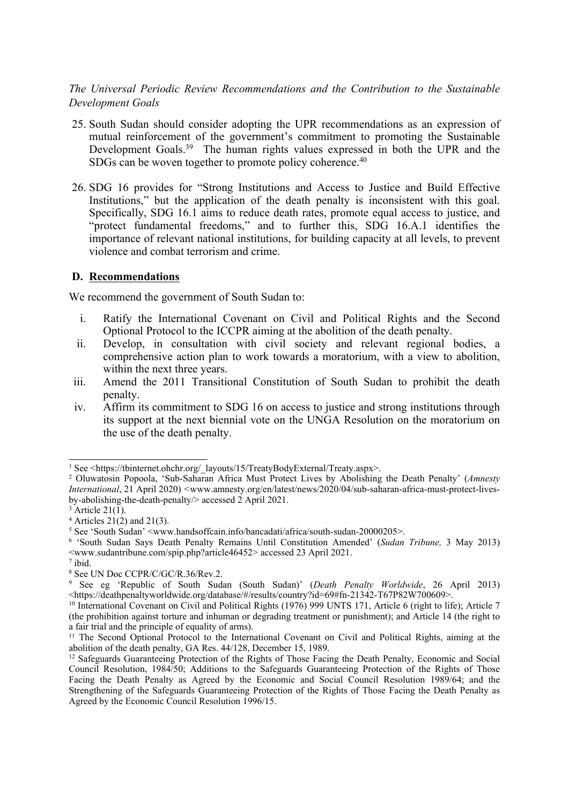*The Universal Periodic Review Recommendations and the Contribution to the Sustainable Development Goals*

- 25. South Sudan should consider adopting the UPR recommendations as an expression of mutual reinforcement of the government'<sup>s</sup> commitment to promoting the Sustainable Development Goals.<sup>39</sup> The human rights values expressed in both the UPR and the SDGs can be woven together to promote policy coherence. 40
- 26. SDG 16 provides for "Strong Institutions and Access to Justice and Build Effective Institutions," but the application of the death penalty is inconsistent with this goal. Specifically, SDG 16.1 aims to reduce death rates, promote equal access to justice, and "protect fundamental freedoms," and to further this, SDG 16.A.1 identifies the importance of relevant national institutions, for building capacity at all levels, to preven<sup>t</sup> violence and combat terrorism and crime.

## **D. Recommendations**

We recommend the governmen<sup>t</sup> of South Sudan to:

- i. Ratify the International Covenant on Civil and Political Rights and the Second Optional Protocol to the ICCPR aiming at the abolition of the death penalty.
- ii. Develop, in consultation with civil society and relevant regional bodies, <sup>a</sup> comprehensive action plan to work towards <sup>a</sup> moratorium, with <sup>a</sup> view to abolition, within the next three years.
- iii. Amend the 2011 Transitional Constitution of South Sudan to prohibit the death penalty.
- iv. Affirm its commitment to SDG 16 on access to justice and strong institutions through its suppor<sup>t</sup> at the next biennial vote on the UNGA Resolution on the moratorium on the use of the death penalty.

<sup>&</sup>lt;sup>1</sup> See <https://tbinternet.ohchr.org/\_layouts/15/TreatyBodyExternal/Treaty.aspx>.

<sup>2</sup> Oluwatosin Popoola, 'Sub-Saharan Africa Must Protect Lives by Abolishing the Death Penalty' (*Amnesty International*, 21 April 2020) *<sup>&</sup>lt;*www.amnesty.org/en/latest/news/2020/04/sub-saharan-africa-must-protect-livesby-abolishing-the-death-penalty/> accessed 2 April 2021.

 $3$  Article 21(1).

 $4$  Articles 21(2) and 21(3).

<sup>&</sup>lt;sup>5</sup> See 'South Sudan' <www.handsoffcain.info/bancadati/africa/south-sudan-20000205>.

<sup>6</sup> 'South Sudan Says Death Penalty Remains Until Constitution Amended' (*Sudan Tribune,* 3 May 2013) <www.sudantribune.com/spip.php?article46452> accessed 23 April 2021.

<sup>7</sup> ibid.

<sup>8</sup> See UN Doc CCPR/C/GC/R.36/Rev.2.

<sup>9</sup> See eg 'Republic of South Sudan (South Sudan)' (*Death Penalty Worldwide*, 26 April 2013)  $\frac{1}{2}$  =  $\frac{1}{2}$  =  $\frac{1}{2}$  =  $\frac{1}{2}$  =  $\frac{1}{2}$  =  $\frac{1}{2}$  =  $\frac{1}{2}$  =  $\frac{1}{2}$  =  $\frac{1}{2}$  =  $\frac{1}{2}$  =  $\frac{1}{2}$  =  $\frac{1}{2}$  =  $\frac{1}{2}$  =  $\frac{1}{2}$  =  $\frac{1}{2}$  =  $\frac{1}{2}$  =  $\frac{1}{2}$  =  $\frac{1}{2}$  =  $\frac{1$ 

<sup>&</sup>lt;sup>10</sup> International Covenant on Civil and Political Rights (1976) 999 UNTS 171, Article 6 (right to life); Article 7 (the prohibition against torture and inhuman or degrading treatment or punishment); and Article 14 (the right to <sup>a</sup> fair trial and the principle of equality of arms).

<sup>&</sup>lt;sup>11</sup> The Second Optional Protocol to the International Covenant on Civil and Political Rights, aiming at the abolition of the death penalty, GA Res. 44/128, December 15, 1989.

<sup>&</sup>lt;sup>12</sup> Safeguards Guaranteeing Protection of the Rights of Those Facing the Death Penalty, Economic and Social Council Resolution, 1984/50; Additions to the Safeguards Guaranteeing Protection of the Rights of Those Facing the Death Penalty as Agreed by the Economic and Social Council Resolution 1989/64; and the Strengthening of the Safeguards Guaranteeing Protection of the Rights of Those Facing the Death Penalty as Agreed by the Economic Council Resolution 1996/15.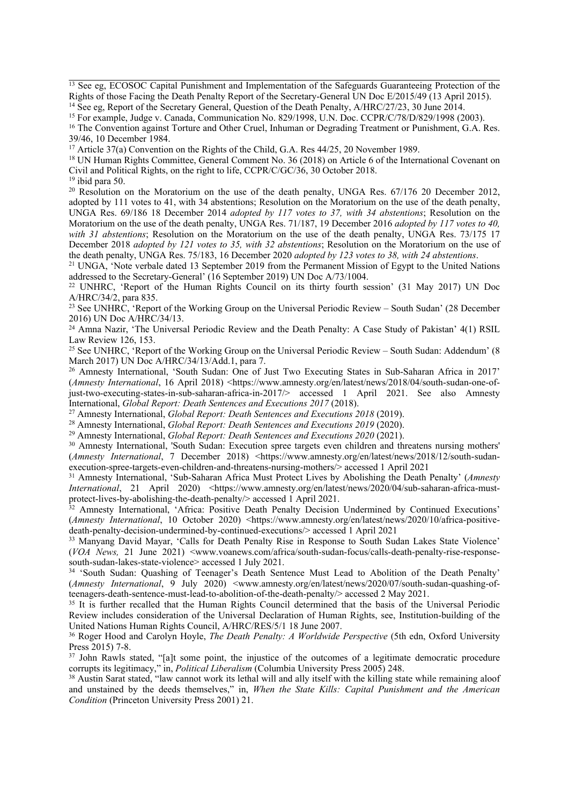<sup>13</sup> See eg, ECOSOC Capital Punishment and Implementation of the Safeguards Guaranteeing Protection of the Rights of those Facing the Death Penalty Report of the Secretary-General UN Doc E/2015/49 (13 April 2015).

<sup>14</sup> See eg, Report of the Secretary General, Question of the Death Penalty, A/HRC/27/23, 30 June 2014.

39/46, 10 December 1984.

<sup>17</sup> Article 37(a) Convention on the Rights of the Child, G.A. Res 44/25, 20 November 1989.

<sup>18</sup> UN Human Rights Committee, General Comment No. 36 (2018) on Article 6 of the International Covenant on Civil and Political Rights, on the right to life, CCPR/C/GC/36, 30 October 2018.

19 ibid para 50.

<sup>20</sup> Resolution on the Moratorium on the use of the death penalty, UNGA Res. 67/176 20 December 2012, adopted by 111 votes to 41, with 34 abstentions; Resolution on the Moratorium on the use of the death penalty, UNGA Res. 69/186 18 December 2014 *adopted by 117 votes to 37, with 34 abstentions*; Resolution on the Moratorium on the use of the death penalty, UNGA Res. 71/187, 19 December 2016 *adopted by 117 votes to 40, with 31 abstentions*; Resolution on the Moratorium on the use of the death penalty, UNGA Res. 73/175 17 December 2018 *adopted by 121 votes to 35, with 32 abstentions*; Resolution on the Moratorium on the use of the death penalty, UNGA Res. 75/183, 16 December 2020 *adopted by 123 votes to 38, with 24 abstentions*.

<sup>21</sup> UNGA, 'Note verbale dated 13 September 2019 from the Permanent Mission of Egypt to the United Nations addressed to the Secretary-General' (16 September 2019) UN Doc A/73/1004.

<sup>22</sup> UNHRC, 'Report of the Human Rights Council on its thirty fourth session' (31 May 2017) UN Doc A/HRC/34/2, para 835.

<sup>23</sup> See UNHRC, 'Report of the Working Group on the Universal Periodic Review – South Sudan' (28 December 2016) UN Doc A/HRC/34/13.

<sup>24</sup> Amna Nazir, 'The Universal Periodic Review and the Death Penalty: A Case Study of Pakistan' 4(1) RSIL Law Review 126, 153.

<sup>25</sup> See UNHRC, 'Report of the Working Group on the Universal Periodic Review – South Sudan: Addendum' (8 March 2017) UN Doc A/HRC/34/13/Add.1, para 7.

<sup>26</sup> Amnesty International, 'South Sudan: One of Just Two Executing States in Sub-Saharan Africa in 2017' (*Amnesty International*, 16 April 2018) <https://www.amnesty.org/en/latest/news/2018/04/south-sudan-one-ofjust-two-executing-states-in-sub-saharan-africa-in-2017/> accessed 1 April 2021. See also Amnesty International, *Global Report: Death Sentences and Executions 2017* (2018).

<sup>27</sup> Amnesty International, *Global Report: Death Sentences and Executions 2018* (2019).

<sup>28</sup> Amnesty International, *Global Report: Death Sentences and Executions 2019* (2020).

<sup>29</sup> Amnesty International, *Global Report: Death Sentences and Executions 2020* (2021).

<sup>30</sup> Amnesty International, 'South Sudan: Execution spree targets even children and threatens nursing mothers' (*Amnesty International*, 7 December 2018) <https://www.amnesty.org/en/latest/news/2018/12/south-sudanexecution-spree-targets-even-children-and-threatens-nursing-mothers/> accessed 1 April 2021

<sup>31</sup> Amnesty International, 'Sub-Saharan Africa Must Protect Lives by Abolishing the Death Penalty' (*Amnesty International*, 21 April 2020) <https://www.amnesty.org/en/latest/news/2020/04/sub-saharan-africa-mustprotect-lives-by-abolishing-the-death-penalty/> accessed 1 April 2021.

<sup>32</sup> Amnesty International, 'Africa: Positive Death Penalty Decision Undermined by Continued Executions' (*Amnesty International*, 10 October 2020) <https://www.amnesty.org/en/latest/news/2020/10/africa-positivedeath-penalty-decision-undermined-by-continued-executions/> accessed 1 April 2021

<sup>33</sup> Manyang David Mayar, 'Calls for Death Penalty Rise in Response to South Sudan Lakes State Violence' (*VOA News,* 21 June 2021) <www.voanews.com/africa/south-sudan-focus/calls-death-penalty-rise-responsesouth-sudan-lakes-state-violence> accessed 1 July 2021.

34 'South Sudan: Quashing of Teenager'<sup>s</sup> Death Sentence Must Lead to Abolition of the Death Penalty' (*Amnesty International*, 9 July 2020) <www.amnesty.org/en/latest/news/2020/07/south-sudan-quashing-ofteenagers-death-sentence-must-lead-to-abolition-of-the-death-penalty/> accessed 2 May 2021.

<sup>35</sup> It is further recalled that the Human Rights Council determined that the basis of the Universal Periodic Review includes consideration of the Universal Declaration of Human Rights, see, Institution-building of the United Nations Human Rights Council, A/HRC/RES/5/1 18 June 2007.

<sup>36</sup> Roger Hood and Carolyn Hoyle, *The Death Penalty: <sup>A</sup> Worldwide Perspective* (5th edn, Oxford University Press 2015) 7-8.

37 John Rawls stated, "[a]t some point, the injustice of the outcomes of <sup>a</sup> legitimate democratic procedure corrupts its legitimacy," in, *Political Liberalism* (Columbia University Press 2005) 248.

<sup>38</sup> Austin Sarat stated, "law cannot work its lethal will and ally itself with the killing state while remaining aloof and unstained by the deeds themselves," in, *When the State Kills: Capital Punishment and the American Condition* (Princeton University Press 2001) 21.

<sup>&</sup>lt;sup>15</sup> For example, Judge v. Canada, Communication No. 829/1998, U.N. Doc. CCPR/C/78/D/829/1998 (2003). <sup>16</sup> The Convention against Torture and Other Cruel, Inhuman or Degrading Treatment or Punishment, G.A. Res.